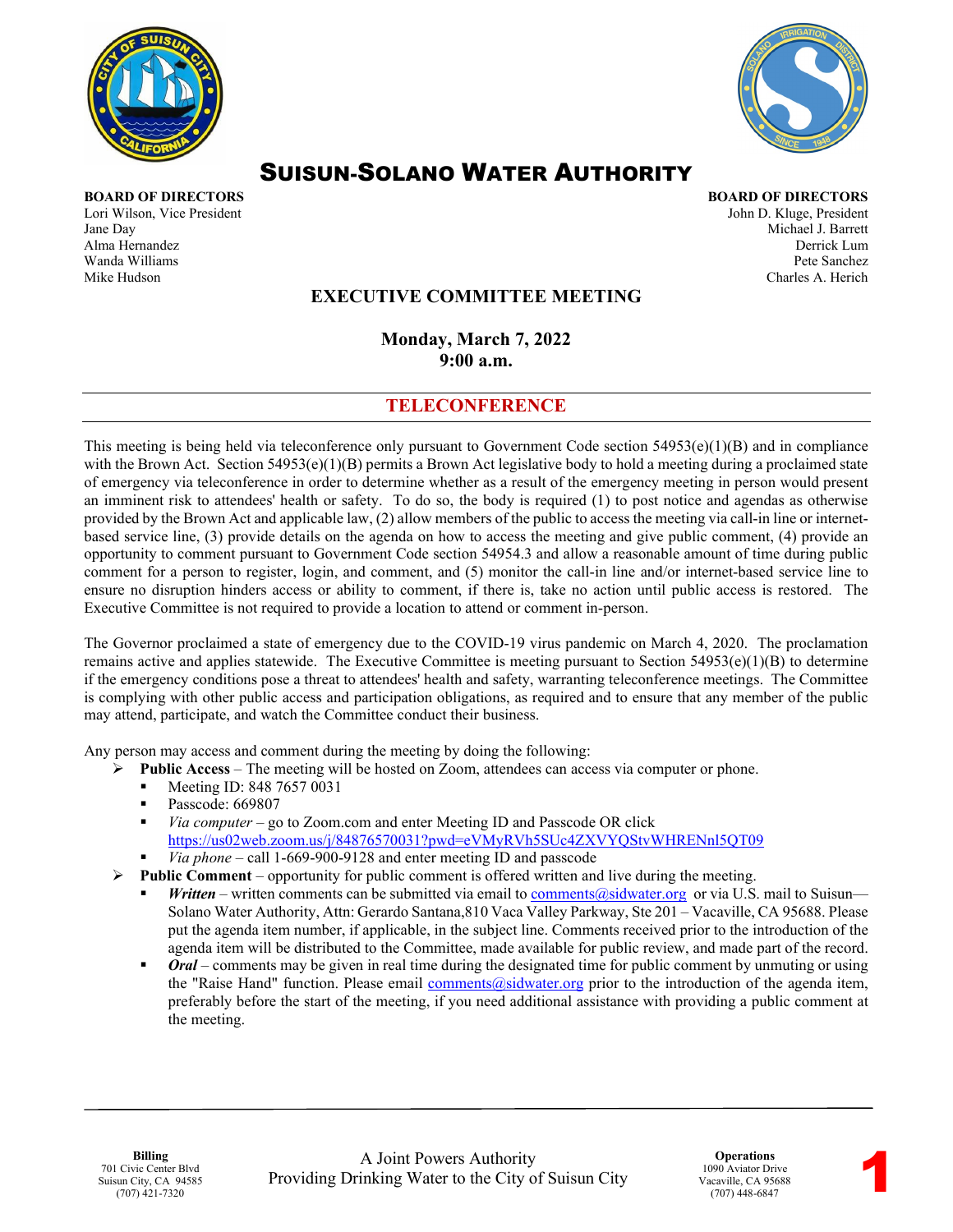



# SUISUN-SOLANO WATER AUTHORITY

**BOARD OF DIRECTORS BOARD OF DIRECTORS** Lori Wilson, Vice President and American School and American School and American John D. Kluge, President John D. Kluge, President Jane Day Michael J. Barrett Alma Hernandez Derrick Lum Wanda Williams Pete Sanchez Mike Hudson Charles A. Herich

## **EXECUTIVE COMMITTEE MEETING**

**Monday, March 7, 2022 9:00 a.m.** 

#### **TELECONFERENCE**

This meeting is being held via teleconference only pursuant to Government Code section  $54953(e)(1)(B)$  and in compliance with the Brown Act. Section  $54953(e)(1)(B)$  permits a Brown Act legislative body to hold a meeting during a proclaimed state of emergency via teleconference in order to determine whether as a result of the emergency meeting in person would present an imminent risk to attendees' health or safety. To do so, the body is required (1) to post notice and agendas as otherwise provided by the Brown Act and applicable law, (2) allow members of the public to access the meeting via call-in line or internetbased service line, (3) provide details on the agenda on how to access the meeting and give public comment, (4) provide an opportunity to comment pursuant to Government Code section 54954.3 and allow a reasonable amount of time during public comment for a person to register, login, and comment, and (5) monitor the call-in line and/or internet-based service line to ensure no disruption hinders access or ability to comment, if there is, take no action until public access is restored. The Executive Committee is not required to provide a location to attend or comment in-person.

The Governor proclaimed a state of emergency due to the COVID-19 virus pandemic on March 4, 2020. The proclamation remains active and applies statewide. The Executive Committee is meeting pursuant to Section  $54953(e)(1)(B)$  to determine if the emergency conditions pose a threat to attendees' health and safety, warranting teleconference meetings. The Committee is complying with other public access and participation obligations, as required and to ensure that any member of the public may attend, participate, and watch the Committee conduct their business.

Any person may access and comment during the meeting by doing the following:

- **Public Access**The meeting will be hosted on Zoom, attendees can access via computer or phone.
	- Meeting ID: 848 7657 0031
	- Passcode: 669807
	- *Via computer* go to Zoom.com and enter Meeting ID and Passcode OR click <https://us02web.zoom.us/j/84876570031?pwd=eVMyRVh5SUc4ZXVYQStvWHRENnl5QT09>
	- *Via phone* call 1-669-900-9128 and enter meeting ID and passcode
- $\triangleright$  **Public Comment** opportunity for public comment is offered written and live during the meeting.
	- *Written* written comments can be submitted via email to [comments@sidwater.org](mailto:comments@sidwater.org) or via U.S. mail to Suisun— Solano Water Authority, Attn: Gerardo Santana,810 Vaca Valley Parkway, Ste 201 – Vacaville, CA 95688. Please put the agenda item number, if applicable, in the subject line. Comments received prior to the introduction of the agenda item will be distributed to the Committee, made available for public review, and made part of the record.
	- *Oral* comments may be given in real time during the designated time for public comment by unmuting or using the "Raise Hand" function. Please email [comments@sidwater.org](mailto:comments@sidwater.org) prior to the introduction of the agenda item, preferably before the start of the meeting, if you need additional assistance with providing a public comment at the meeting.

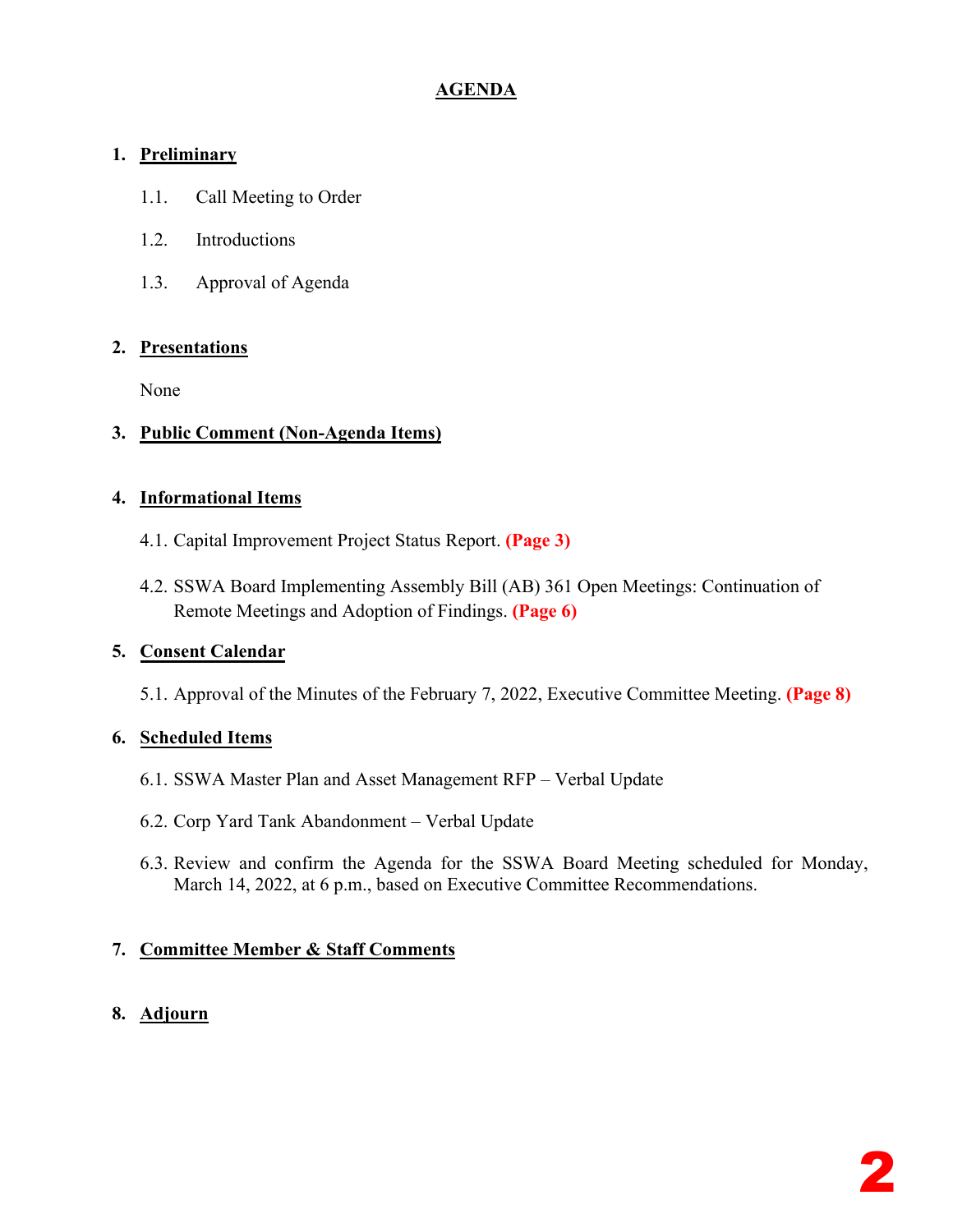## **AGENDA**

## **1. Preliminary**

- 1.1. Call Meeting to Order
- 1.2. Introductions
- 1.3. Approval of Agenda

## **2. Presentations**

None

## **3. Public Comment (Non-Agenda Items)**

## **4. Informational Items**

- 4.1. Capital Improvement Project Status Report. **(Page 3)**
- 4.2. SSWA Board Implementing Assembly Bill (AB) 361 Open Meetings: Continuation of Remote Meetings and Adoption of Findings. **(Page 6)**

## **5. Consent Calendar**

5.1. Approval of the Minutes of the February 7, 2022, Executive Committee Meeting. **(Page 8)**

## **6. Scheduled Items**

- 6.1. SSWA Master Plan and Asset Management RFP Verbal Update
- 6.2. Corp Yard Tank Abandonment Verbal Update
- 6.3. Review and confirm the Agenda for the SSWA Board Meeting scheduled for Monday, March 14, 2022, at 6 p.m., based on Executive Committee Recommendations.

## **7. Committee Member & Staff Comments**

## **8. Adjourn**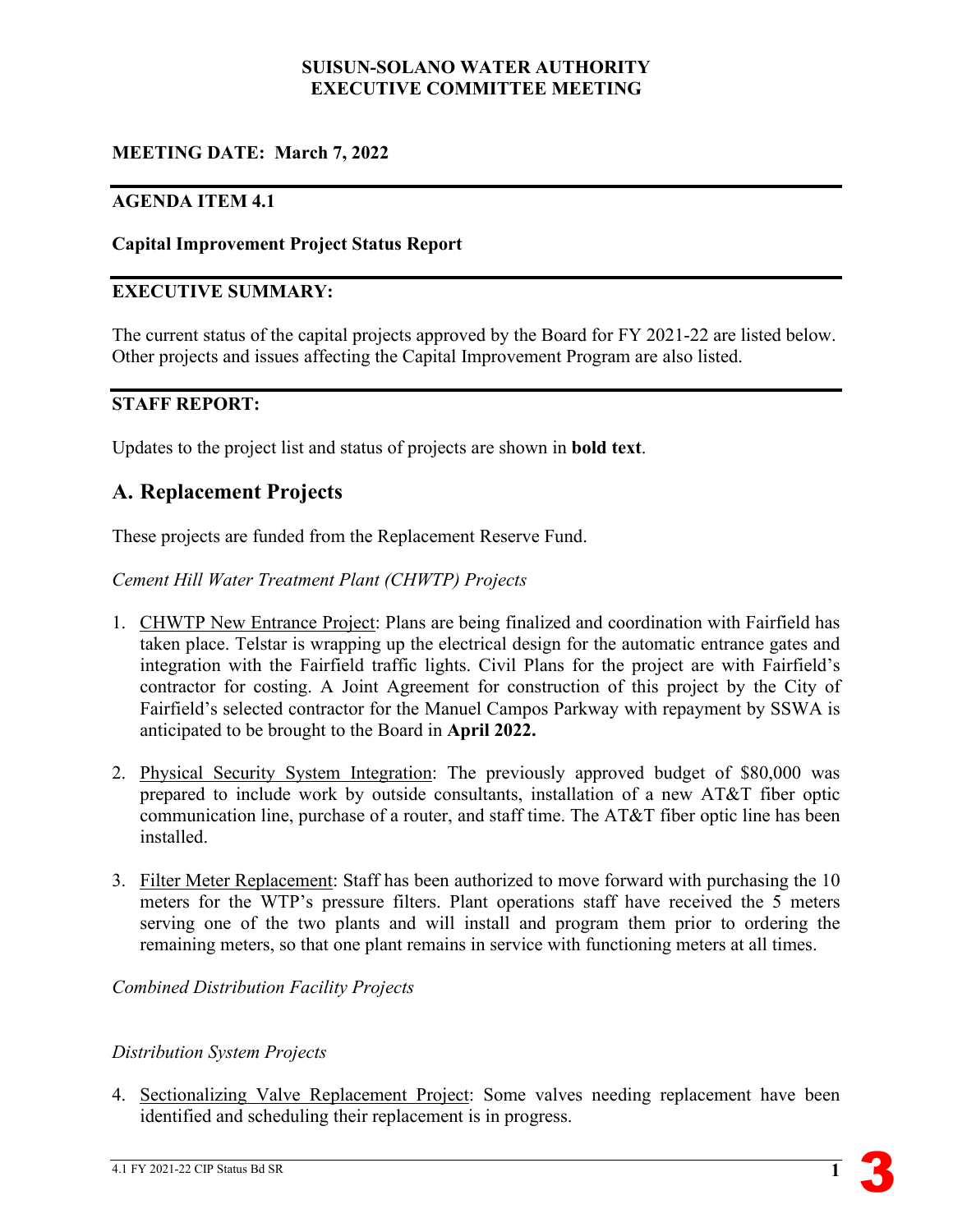### **SUISUN-SOLANO WATER AUTHORITY EXECUTIVE COMMITTEE MEETING**

## **MEETING DATE: March 7, 2022**

### **AGENDA ITEM 4.1**

#### **Capital Improvement Project Status Report**

#### **EXECUTIVE SUMMARY:**

The current status of the capital projects approved by the Board for FY 2021-22 are listed below. Other projects and issues affecting the Capital Improvement Program are also listed.

#### **STAFF REPORT:**

Updates to the project list and status of projects are shown in **bold text**.

## **A. Replacement Projects**

These projects are funded from the Replacement Reserve Fund.

*Cement Hill Water Treatment Plant (CHWTP) Projects*

- 1. CHWTP New Entrance Project: Plans are being finalized and coordination with Fairfield has taken place. Telstar is wrapping up the electrical design for the automatic entrance gates and integration with the Fairfield traffic lights. Civil Plans for the project are with Fairfield's contractor for costing. A Joint Agreement for construction of this project by the City of Fairfield's selected contractor for the Manuel Campos Parkway with repayment by SSWA is anticipated to be brought to the Board in **April 2022.**
- 2. Physical Security System Integration: The previously approved budget of \$80,000 was prepared to include work by outside consultants, installation of a new AT&T fiber optic communication line, purchase of a router, and staff time. The AT&T fiber optic line has been installed.
- 3. Filter Meter Replacement: Staff has been authorized to move forward with purchasing the 10 meters for the WTP's pressure filters. Plant operations staff have received the 5 meters serving one of the two plants and will install and program them prior to ordering the remaining meters, so that one plant remains in service with functioning meters at all times.

*Combined Distribution Facility Projects* 

#### *Distribution System Projects*

4. Sectionalizing Valve Replacement Project: Some valves needing replacement have been identified and scheduling their replacement is in progress.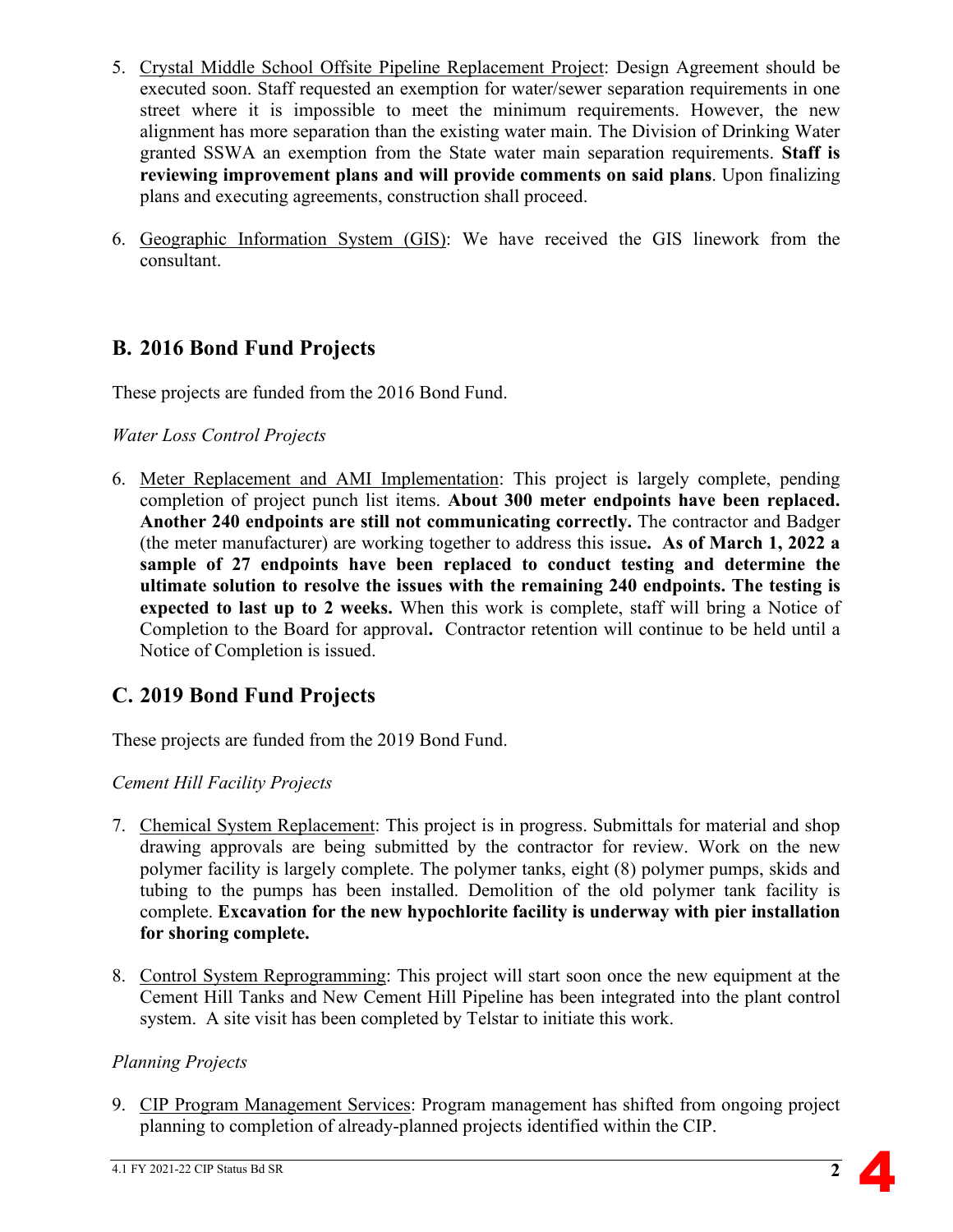- 5. Crystal Middle School Offsite Pipeline Replacement Project: Design Agreement should be executed soon. Staff requested an exemption for water/sewer separation requirements in one street where it is impossible to meet the minimum requirements. However, the new alignment has more separation than the existing water main. The Division of Drinking Water granted SSWA an exemption from the State water main separation requirements. **Staff is reviewing improvement plans and will provide comments on said plans**. Upon finalizing plans and executing agreements, construction shall proceed.
- 6. Geographic Information System (GIS): We have received the GIS linework from the consultant.

## **B. 2016 Bond Fund Projects**

These projects are funded from the 2016 Bond Fund.

#### *Water Loss Control Projects*

6. Meter Replacement and AMI Implementation: This project is largely complete, pending completion of project punch list items. **About 300 meter endpoints have been replaced. Another 240 endpoints are still not communicating correctly.** The contractor and Badger (the meter manufacturer) are working together to address this issue**. As of March 1, 2022 a sample of 27 endpoints have been replaced to conduct testing and determine the ultimate solution to resolve the issues with the remaining 240 endpoints. The testing is expected to last up to 2 weeks.** When this work is complete, staff will bring a Notice of Completion to the Board for approval**.** Contractor retention will continue to be held until a Notice of Completion is issued.

## **C. 2019 Bond Fund Projects**

These projects are funded from the 2019 Bond Fund.

## *Cement Hill Facility Projects*

- 7. Chemical System Replacement: This project is in progress. Submittals for material and shop drawing approvals are being submitted by the contractor for review. Work on the new polymer facility is largely complete. The polymer tanks, eight (8) polymer pumps, skids and tubing to the pumps has been installed. Demolition of the old polymer tank facility is complete. **Excavation for the new hypochlorite facility is underway with pier installation for shoring complete.**
- 8. Control System Reprogramming: This project will start soon once the new equipment at the Cement Hill Tanks and New Cement Hill Pipeline has been integrated into the plant control system. A site visit has been completed by Telstar to initiate this work.

#### *Planning Projects*

9. CIP Program Management Services: Program management has shifted from ongoing project planning to completion of already-planned projects identified within the CIP.

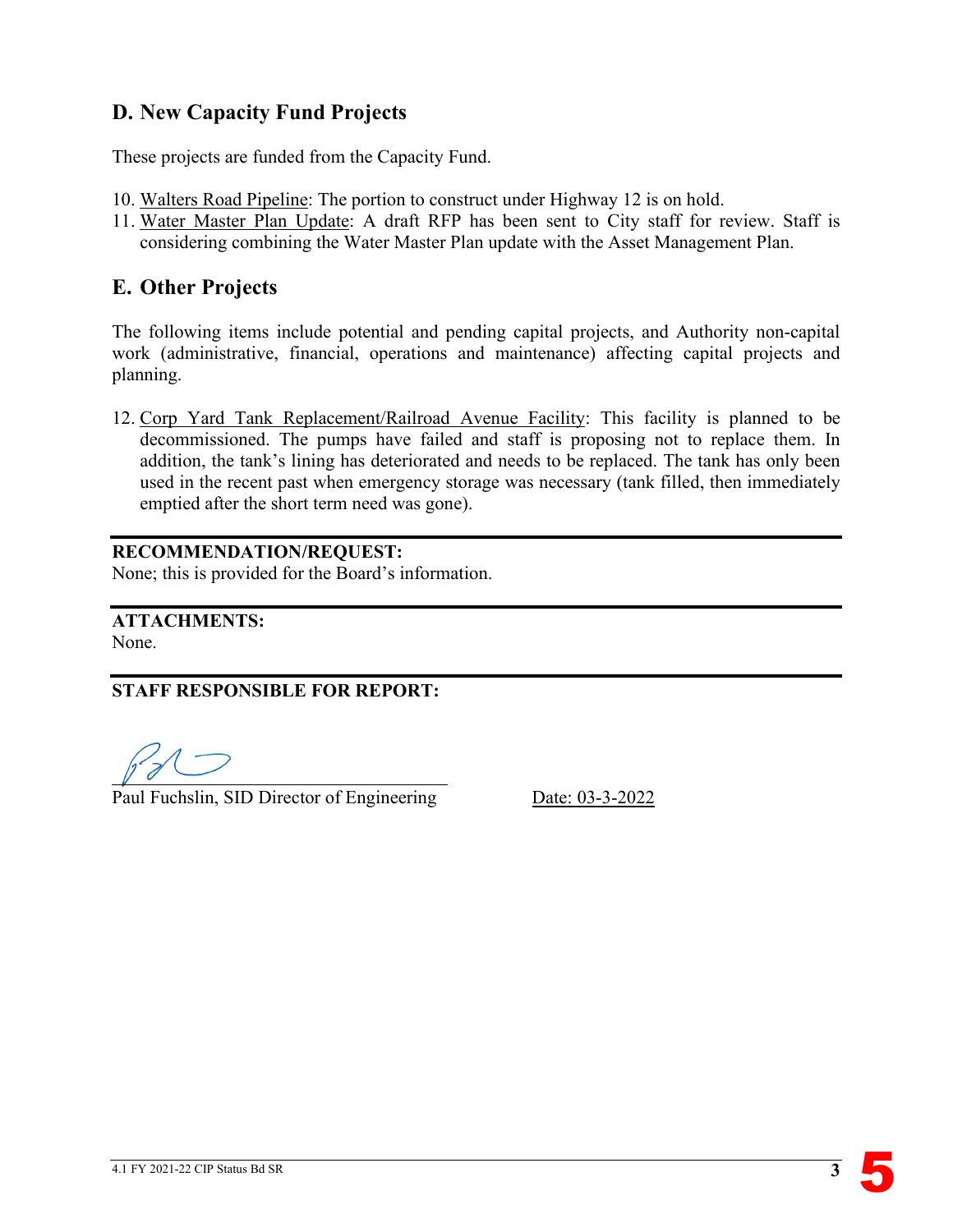## **D. New Capacity Fund Projects**

These projects are funded from the Capacity Fund.

- 10. Walters Road Pipeline: The portion to construct under Highway 12 is on hold.
- 11. Water Master Plan Update: A draft RFP has been sent to City staff for review. Staff is considering combining the Water Master Plan update with the Asset Management Plan.

## **E. Other Projects**

The following items include potential and pending capital projects, and Authority non-capital work (administrative, financial, operations and maintenance) affecting capital projects and planning.

12. Corp Yard Tank Replacement/Railroad Avenue Facility: This facility is planned to be decommissioned. The pumps have failed and staff is proposing not to replace them. In addition, the tank's lining has deteriorated and needs to be replaced. The tank has only been used in the recent past when emergency storage was necessary (tank filled, then immediately emptied after the short term need was gone).

#### **RECOMMENDATION/REQUEST:**

None; this is provided for the Board's information.

**ATTACHMENTS:** None.

**STAFF RESPONSIBLE FOR REPORT:**

 $\overline{a}$ 

Paul Fuchslin, SID Director of Engineering Date: 03-3-2022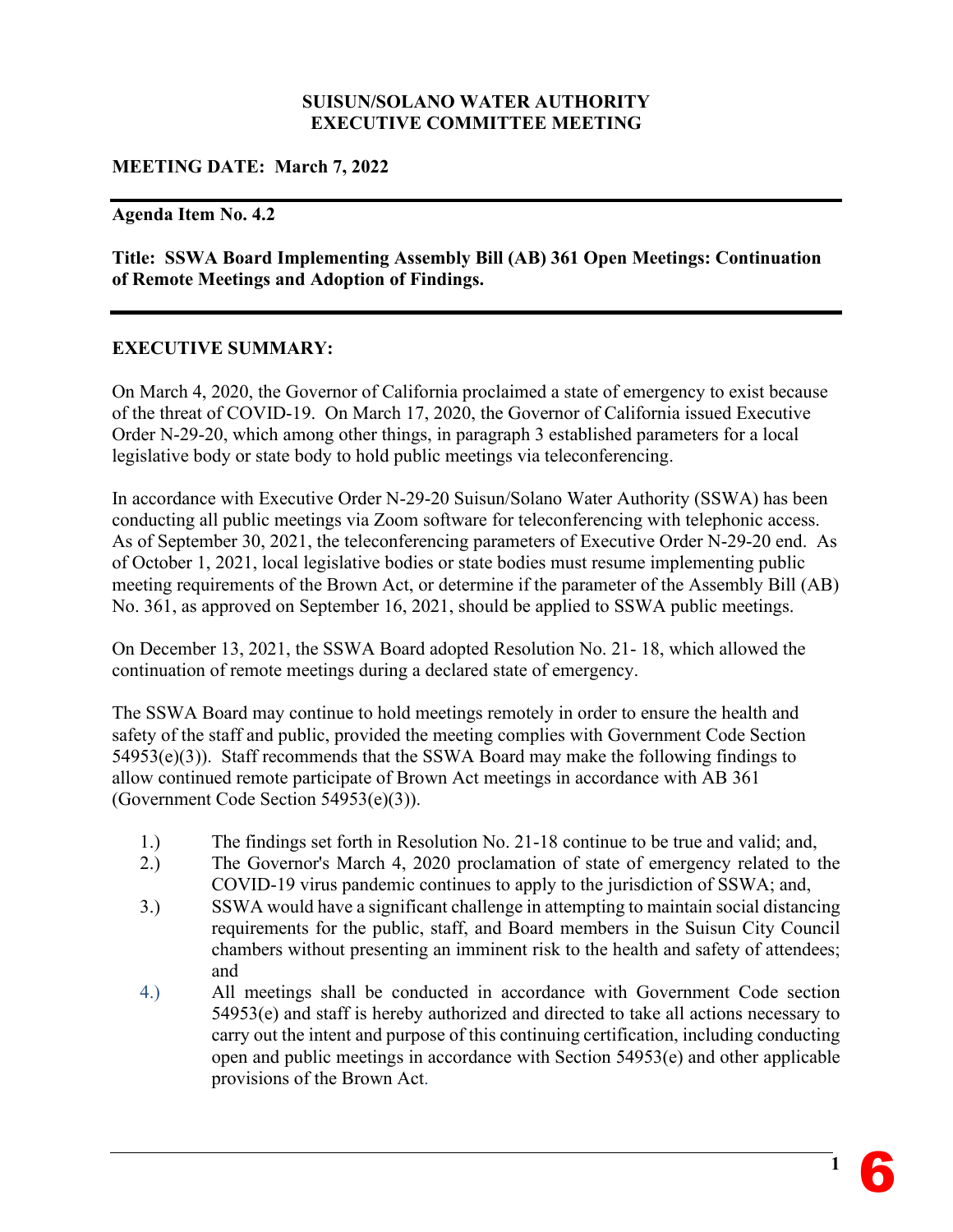#### **SUISUN/SOLANO WATER AUTHORITY EXECUTIVE COMMITTEE MEETING**

#### **MEETING DATE: March 7, 2022**

#### **Agenda Item No. 4.2**

**Title: SSWA Board Implementing Assembly Bill (AB) 361 Open Meetings: Continuation of Remote Meetings and Adoption of Findings.**

#### **EXECUTIVE SUMMARY:**

On March 4, 2020, the Governor of California proclaimed a state of emergency to exist because of the threat of COVID-19. On March 17, 2020, the Governor of California issued Executive Order N-29-20, which among other things, in paragraph 3 established parameters for a local legislative body or state body to hold public meetings via teleconferencing.

In accordance with Executive Order N-29-20 Suisun/Solano Water Authority (SSWA) has been conducting all public meetings via Zoom software for teleconferencing with telephonic access. As of September 30, 2021, the teleconferencing parameters of Executive Order N-29-20 end. As of October 1, 2021, local legislative bodies or state bodies must resume implementing public meeting requirements of the Brown Act, or determine if the parameter of the Assembly Bill (AB) No. 361, as approved on September 16, 2021, should be applied to SSWA public meetings.

On December 13, 2021, the SSWA Board adopted Resolution No. 21- 18, which allowed the continuation of remote meetings during a declared state of emergency.

The SSWA Board may continue to hold meetings remotely in order to ensure the health and safety of the staff and public, provided the meeting complies with Government Code Section 54953(e)(3)). Staff recommends that the SSWA Board may make the following findings to allow continued remote participate of Brown Act meetings in accordance with AB 361 (Government Code Section 54953(e)(3)).

- 1.) The findings set forth in Resolution No. 21-18 continue to be true and valid; and,
- 2.) The Governor's March 4, 2020 proclamation of state of emergency related to the COVID-19 virus pandemic continues to apply to the jurisdiction of SSWA; and,
- 3.) SSWA would have a significant challenge in attempting to maintain social distancing requirements for the public, staff, and Board members in the Suisun City Council chambers without presenting an imminent risk to the health and safety of attendees; and
- 4.) All meetings shall be conducted in accordance with Government Code section 54953(e) and staff is hereby authorized and directed to take all actions necessary to carry out the intent and purpose of this continuing certification, including conducting open and public meetings in accordance with Section 54953(e) and other applicable provisions of the Brown Act.

6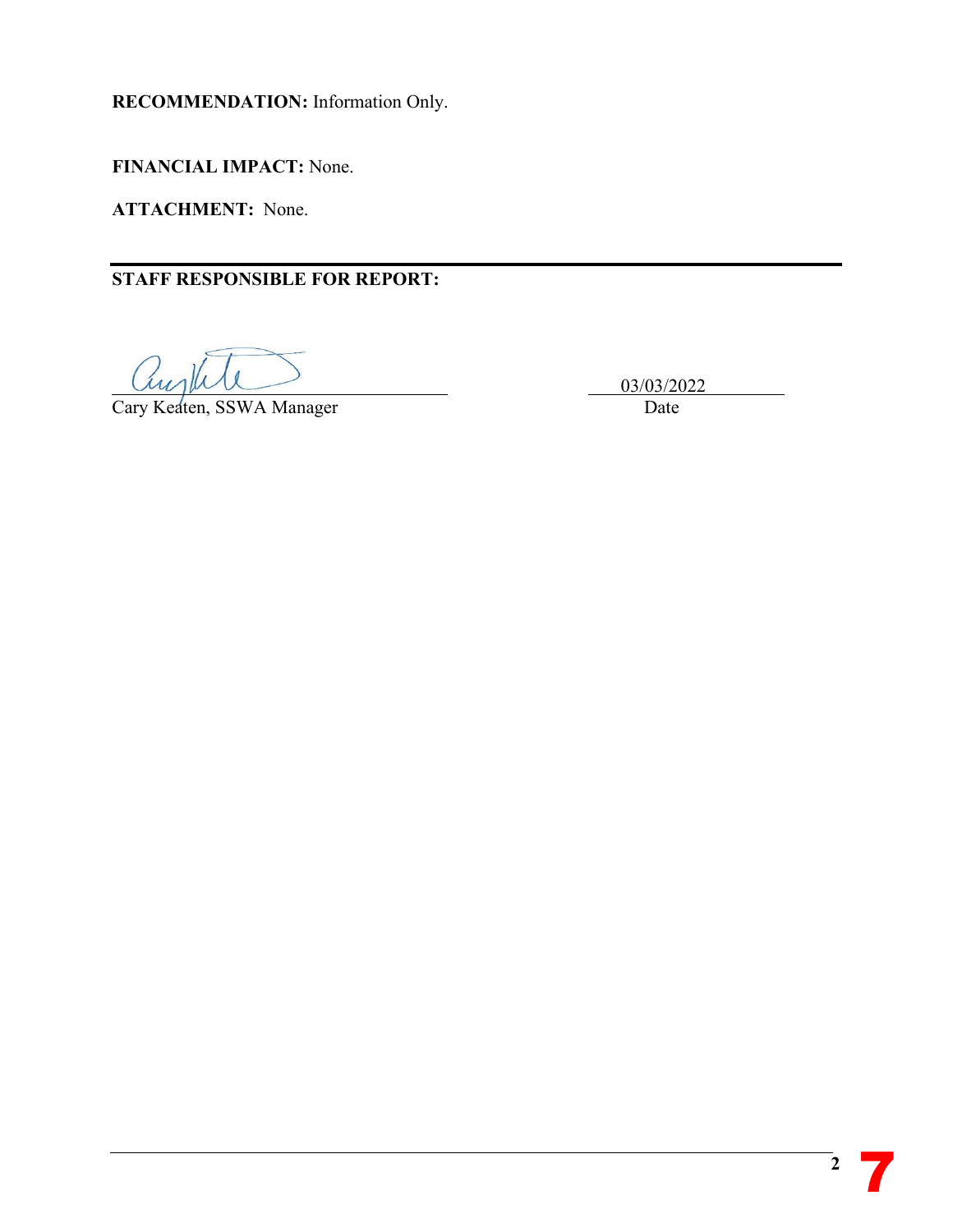**RECOMMENDATION:** Information Only.

**FINANCIAL IMPACT:** None.

**ATTACHMENT:** None.

**STAFF RESPONSIBLE FOR REPORT:** 

 $03/03/2022$ 

Cary Keaten, SSWA Manager Date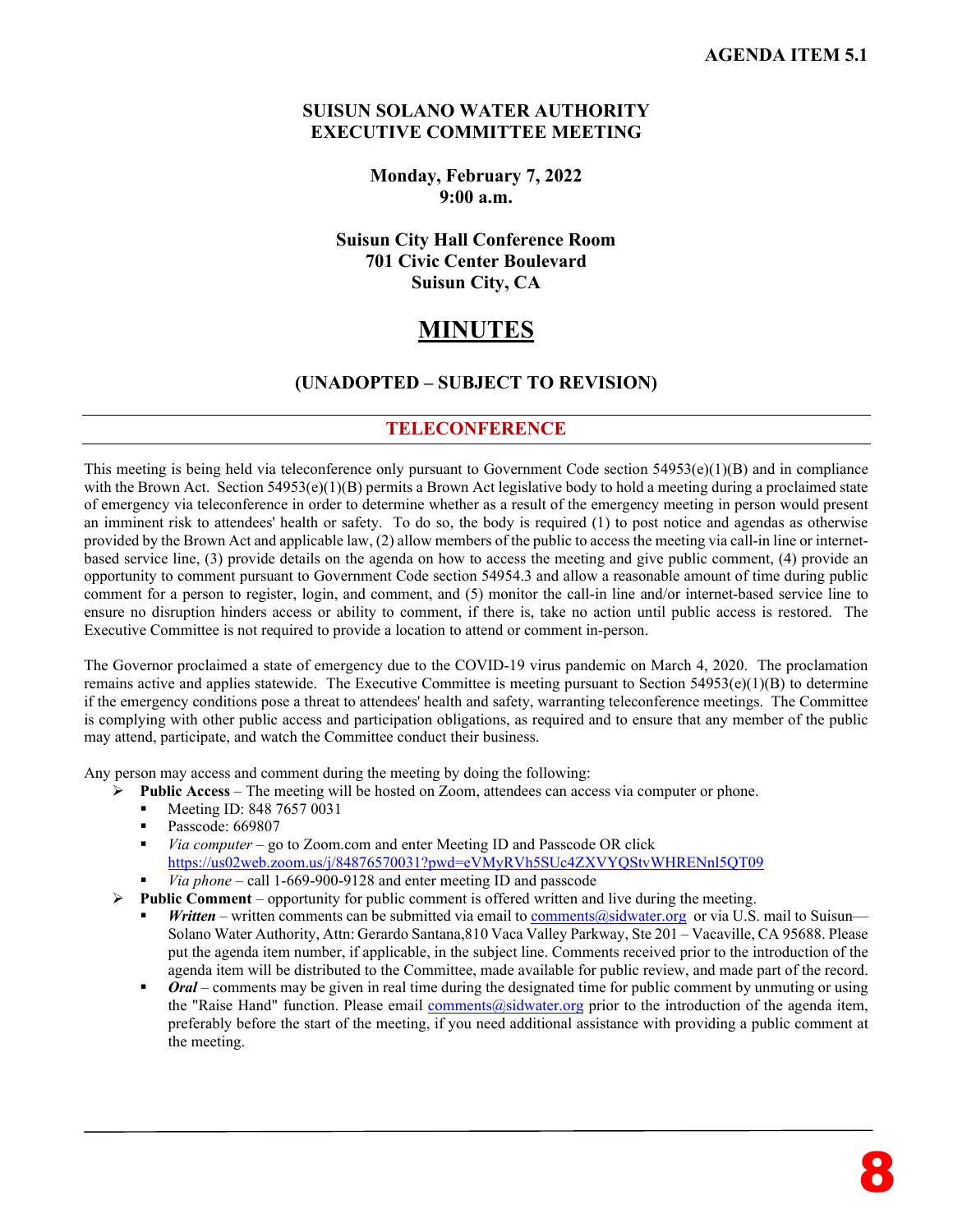#### **SUISUN SOLANO WATER AUTHORITY EXECUTIVE COMMITTEE MEETING**

**Monday, February 7, 2022 9:00 a.m.** 

**Suisun City Hall Conference Room 701 Civic Center Boulevard Suisun City, CA**

## **MINUTES**

#### **(UNADOPTED – SUBJECT TO REVISION)**

#### **TELECONFERENCE**

This meeting is being held via teleconference only pursuant to Government Code section  $54953(e)(1)(B)$  and in compliance with the Brown Act. Section  $54953(e)(1)(B)$  permits a Brown Act legislative body to hold a meeting during a proclaimed state of emergency via teleconference in order to determine whether as a result of the emergency meeting in person would present an imminent risk to attendees' health or safety. To do so, the body is required (1) to post notice and agendas as otherwise provided by the Brown Act and applicable law, (2) allow members of the public to access the meeting via call-in line or internetbased service line, (3) provide details on the agenda on how to access the meeting and give public comment, (4) provide an opportunity to comment pursuant to Government Code section 54954.3 and allow a reasonable amount of time during public comment for a person to register, login, and comment, and (5) monitor the call-in line and/or internet-based service line to ensure no disruption hinders access or ability to comment, if there is, take no action until public access is restored. The Executive Committee is not required to provide a location to attend or comment in-person.

The Governor proclaimed a state of emergency due to the COVID-19 virus pandemic on March 4, 2020. The proclamation remains active and applies statewide. The Executive Committee is meeting pursuant to Section  $54953(e)(1)(B)$  to determine if the emergency conditions pose a threat to attendees' health and safety, warranting teleconference meetings. The Committee is complying with other public access and participation obligations, as required and to ensure that any member of the public may attend, participate, and watch the Committee conduct their business.

Any person may access and comment during the meeting by doing the following:

- **Public Access**The meeting will be hosted on Zoom, attendees can access via computer or phone.
	- Meeting ID: 848 7657 0031
	- Passcode: 669807
	- *Via computer* go to Zoom.com and enter Meeting ID and Passcode OR click <https://us02web.zoom.us/j/84876570031?pwd=eVMyRVh5SUc4ZXVYQStvWHRENnl5QT09>
	- *Via phone* call 1-669-900-9128 and enter meeting ID and passcode
- $\triangleright$  **Public Comment** opportunity for public comment is offered written and live during the meeting.
	- *Written* written comments can be submitted via email to [comments@sidwater.org](mailto:comments@sidwater.org) or via U.S. mail to Suisun— Solano Water Authority, Attn: Gerardo Santana,810 Vaca Valley Parkway, Ste 201 – Vacaville, CA 95688. Please put the agenda item number, if applicable, in the subject line. Comments received prior to the introduction of the agenda item will be distributed to the Committee, made available for public review, and made part of the record.
	- *Oral* comments may be given in real time during the designated time for public comment by unmuting or using the "Raise Hand" function. Please email [comments@sidwater.org](mailto:comments@sidwater.org) prior to the introduction of the agenda item, preferably before the start of the meeting, if you need additional assistance with providing a public comment at the meeting.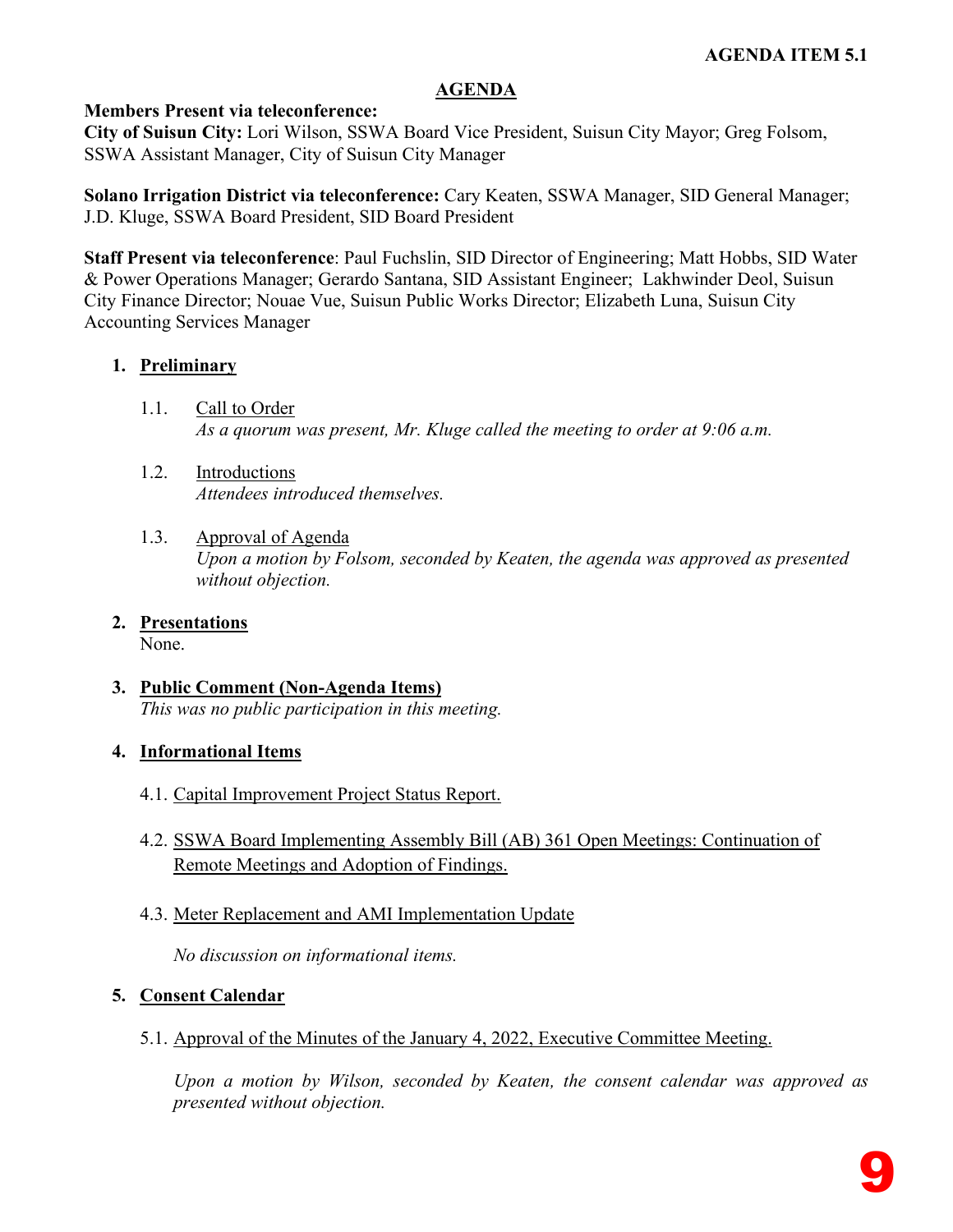#### **AGENDA**

#### **Members Present via teleconference:**

**City of Suisun City:** Lori Wilson, SSWA Board Vice President, Suisun City Mayor; Greg Folsom, SSWA Assistant Manager, City of Suisun City Manager

**Solano Irrigation District via teleconference:** Cary Keaten, SSWA Manager, SID General Manager; J.D. Kluge, SSWA Board President, SID Board President

**Staff Present via teleconference**: Paul Fuchslin, SID Director of Engineering; Matt Hobbs, SID Water & Power Operations Manager; Gerardo Santana, SID Assistant Engineer; Lakhwinder Deol, Suisun City Finance Director; Nouae Vue, Suisun Public Works Director; Elizabeth Luna, Suisun City Accounting Services Manager

#### **1. Preliminary**

- 1.1. Call to Order *As a quorum was present, Mr. Kluge called the meeting to order at 9:06 a.m.*
- 1.2. Introductions *Attendees introduced themselves.*
- 1.3. Approval of Agenda *Upon a motion by Folsom, seconded by Keaten, the agenda was approved as presented without objection.*
- **2. Presentations** None.
- **3. Public Comment (Non-Agenda Items)** *This was no public participation in this meeting.*

#### **4. Informational Items**

- 4.1. Capital Improvement Project Status Report.
- 4.2. SSWA Board Implementing Assembly Bill (AB) 361 Open Meetings: Continuation of Remote Meetings and Adoption of Findings.
- 4.3. Meter Replacement and AMI Implementation Update

*No discussion on informational items.* 

#### **5. Consent Calendar**

5.1. Approval of the Minutes of the January 4, 2022, Executive Committee Meeting.

*Upon a motion by Wilson, seconded by Keaten, the consent calendar was approved as presented without objection.*